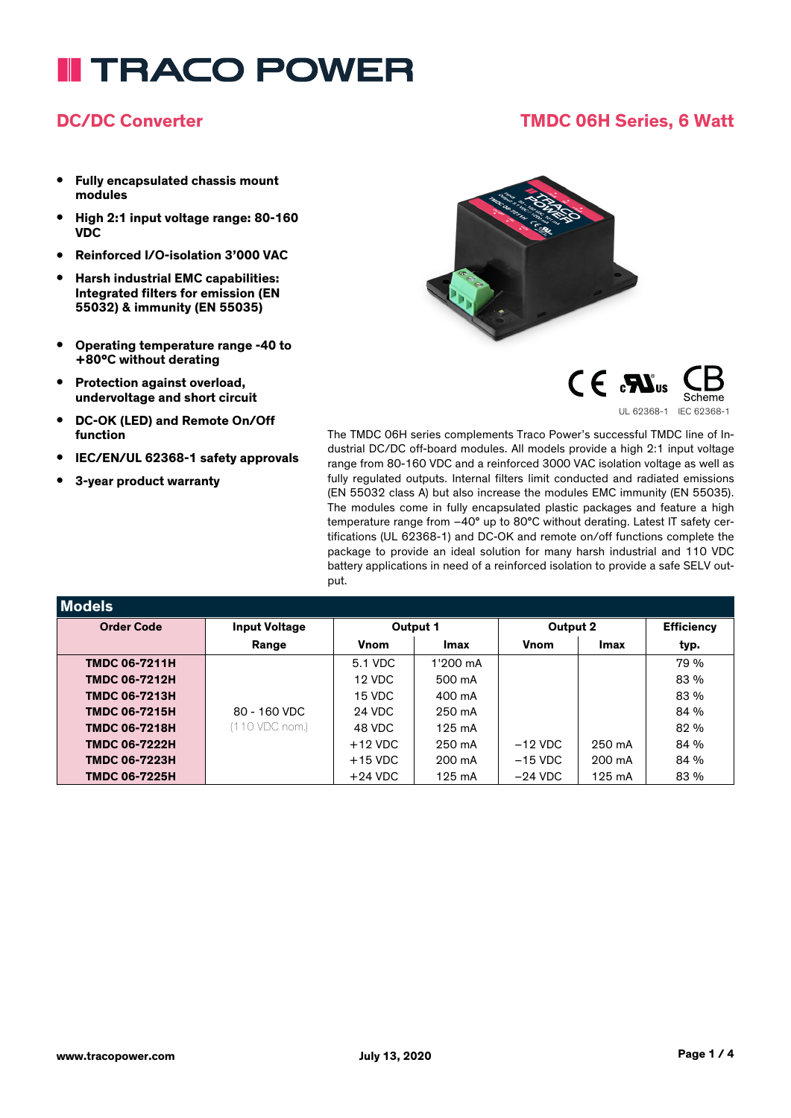# **I TRACO POWER**

## **DC/DC Converter TMDC 06H Series, 6 Watt**

- **• Fully encapsulated chassis mount modules**
- **• High 2:1 input voltage range: 80-160 VDC**
- **• Reinforced I/O-isolation 3'000 VAC**
- **• Harsh industrial EMC capabilities: Integrated filters for emission (EN 55032) & immunity (EN 55035)**
- **• Operating temperature range -40 to +80°C without derating**
- **• Protection against overload, undervoltage and short circuit**
- **• DC-OK (LED) and Remote On/Off function**
- **• IEC/EN/UL 62368-1 safety approvals**
- **• 3-year product warranty**





The TMDC 06H series complements Traco Power's successful TMDC line of Industrial DC/DC off-board modules. All models provide a high 2:1 input voltage range from 80-160 VDC and a reinforced 3000 VAC isolation voltage as well as fully regulated outputs. Internal filters limit conducted and radiated emissions (EN 55032 class A) but also increase the modules EMC immunity (EN 55035). The modules come in fully encapsulated plastic packages and feature a high temperature range from –40° up to 80°C without derating. Latest IT safety certifications (UL 62368-1) and DC-OK and remote on/off functions complete the package to provide an ideal solution for many harsh industrial and 110 VDC battery applications in need of a reinforced isolation to provide a safe SELV output.

| Models               |                      |           |                  |              |                  |                   |
|----------------------|----------------------|-----------|------------------|--------------|------------------|-------------------|
| <b>Order Code</b>    | <b>Input Voltage</b> | Output 1  |                  | Output 2     |                  | <b>Efficiency</b> |
|                      | Range                | Vnom      | Imax             | <b>V</b> nom | Imax             | typ.              |
| <b>TMDC 06-7211H</b> |                      | 5.1 VDC   | 1'200 mA         |              |                  | 79 %              |
| <b>TMDC 06-7212H</b> |                      | 12 VDC    | 500 mA           |              |                  | 83 %              |
| <b>TMDC 06-7213H</b> |                      | 15 VDC    | 400 mA           |              |                  | 83 %              |
| <b>TMDC 06-7215H</b> | 80 - 160 VDC         | 24 VDC    | 250 mA           |              |                  | 84 %              |
| <b>TMDC 06-7218H</b> | (110 VDC nom.)       | 48 VDC    | $125 \text{ mA}$ |              |                  | 82 %              |
| <b>TMDC 06-7222H</b> |                      | $+12$ VDC | 250 mA           | $-12$ VDC    | 250 mA           | 84 %              |
| <b>TMDC 06-7223H</b> |                      | $+15$ VDC | 200 mA           | $-15$ VDC    | 200 mA           | 84 %              |
| <b>TMDC 06-7225H</b> |                      | $+24$ VDC | 125 mA           | $-24$ VDC    | $125 \text{ mA}$ | 83 %              |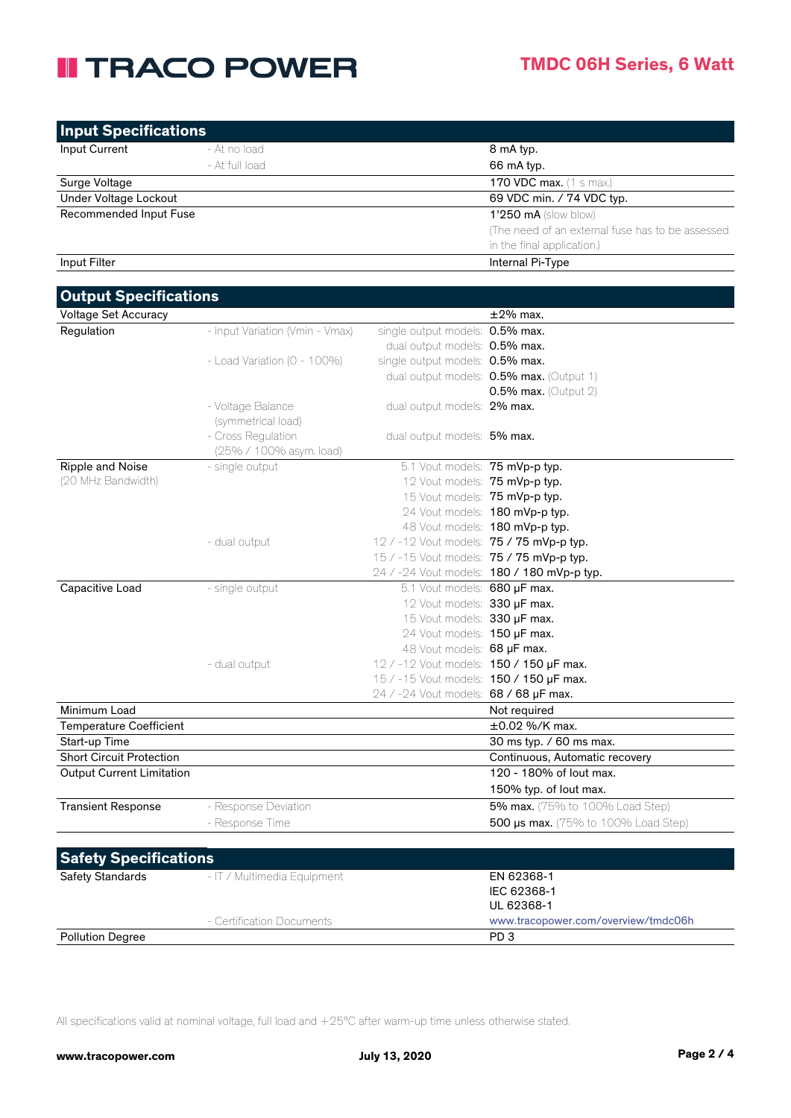# **II TRACO POWER**

| <b>Input Specifications</b> |                |                                                                                |
|-----------------------------|----------------|--------------------------------------------------------------------------------|
| Input Current               | - At no load   | 8 mA typ.                                                                      |
|                             | - At full load | 66 mA typ.                                                                     |
| Surge Voltage               |                | <b>170 VDC max.</b> (1 s max.)                                                 |
| Under Voltage Lockout       |                | 69 VDC min. / 74 VDC typ.                                                      |
| Recommended Input Fuse      |                | $1'250$ mA (slow blow)                                                         |
|                             |                | (The need of an external fuse has to be assessed<br>in the final application.) |
| Input Filter                |                | Internal Pi-Type                                                               |

## **Output Specifications**

| Output op <del>c</del> emeations |                                  |                                          |                                            |
|----------------------------------|----------------------------------|------------------------------------------|--------------------------------------------|
| <b>Voltage Set Accuracy</b>      |                                  |                                          | $\pm 2\%$ max.                             |
| Regulation                       | - Input Variation (Vmin - Vmax)  | single output models: 0.5% max.          |                                            |
|                                  |                                  | dual output models: 0.5% max.            |                                            |
|                                  | - Load Variation ( $0 - 100\%$ ) | single output models: 0.5% max.          |                                            |
|                                  |                                  |                                          | dual output models: 0.5% max. (Output 1)   |
|                                  |                                  |                                          | $0.5\%$ max. (Output 2)                    |
|                                  | - Voltage Balance                | dual output models: 2% max.              |                                            |
|                                  | (symmetrical load)               |                                          |                                            |
|                                  | - Cross Regulation               | dual output models: 5% max.              |                                            |
|                                  | (25% / 100% asym. load)          |                                          |                                            |
| Ripple and Noise                 | - single output                  | 5.1 Vout models: 75 mVp-p typ.           |                                            |
| (20 MHz Bandwidth)               |                                  | 12 Vout models: 75 mVp-p typ.            |                                            |
|                                  |                                  | 15 Vout models: 75 mVp-p typ.            |                                            |
|                                  |                                  |                                          | 24 Vout models: 180 mVp-p typ.             |
|                                  |                                  |                                          | 48 Vout models: 180 mVp-p typ.             |
|                                  | - dual output                    | 12 / -12 Vout models: 75 / 75 mVp-p typ. |                                            |
|                                  |                                  | 15 / -15 Vout models: 75 / 75 mVp-p typ. |                                            |
|                                  |                                  |                                          | 24 / -24 Vout models: 180 / 180 mVp-p typ. |
| Capacitive Load                  | - single output                  | 5.1 Vout models: 680 µF max.             |                                            |
|                                  |                                  | 12 Vout models: 330 µF max.              |                                            |
|                                  |                                  | 15 Vout models: 330 µF max.              |                                            |
|                                  |                                  | 24 Vout models: 150 µF max.              |                                            |
|                                  |                                  | 48 Vout models: 68 µF max.               |                                            |
|                                  | - dual output                    | 12 / -12 Vout models: 150 / 150 µF max.  |                                            |
|                                  |                                  | 15 / -15 Vout models: 150 / 150 µF max.  |                                            |
|                                  |                                  | 24 / -24 Vout models: 68 / 68 µF max.    |                                            |
| Minimum Load                     |                                  |                                          | Not required                               |
| Temperature Coefficient          |                                  |                                          | $\pm 0.02$ %/K max.                        |
| Start-up Time                    |                                  |                                          | 30 ms typ. / 60 ms max.                    |
| <b>Short Circuit Protection</b>  |                                  |                                          | Continuous, Automatic recovery             |
| <b>Output Current Limitation</b> |                                  |                                          | 120 - 180% of lout max.                    |
|                                  |                                  |                                          | 150% typ. of lout max.                     |
| <b>Transient Response</b>        | - Response Deviation             |                                          | 5% max. (75% to 100% Load Step)            |
|                                  | - Response Time                  |                                          | 500 µs max. (75% to 100% Load Step)        |
|                                  |                                  |                                          |                                            |
| <b>Safety Specifications</b>     |                                  |                                          |                                            |
|                                  |                                  |                                          |                                            |

| <b>Salety Opeenheations</b> |                             |                                     |
|-----------------------------|-----------------------------|-------------------------------------|
| <b>Safety Standards</b>     | - IT / Multimedia Equipment | EN 62368-1                          |
|                             |                             | IEC 62368-1                         |
|                             |                             | UL 62368-1                          |
|                             | - Certification Documents   | www.tracopower.com/overview/tmdc06h |
| <b>Pollution Degree</b>     |                             | PD <sub>3</sub>                     |

All specifications valid at nominal voltage, full load and +25°C after warm-up time unless otherwise stated.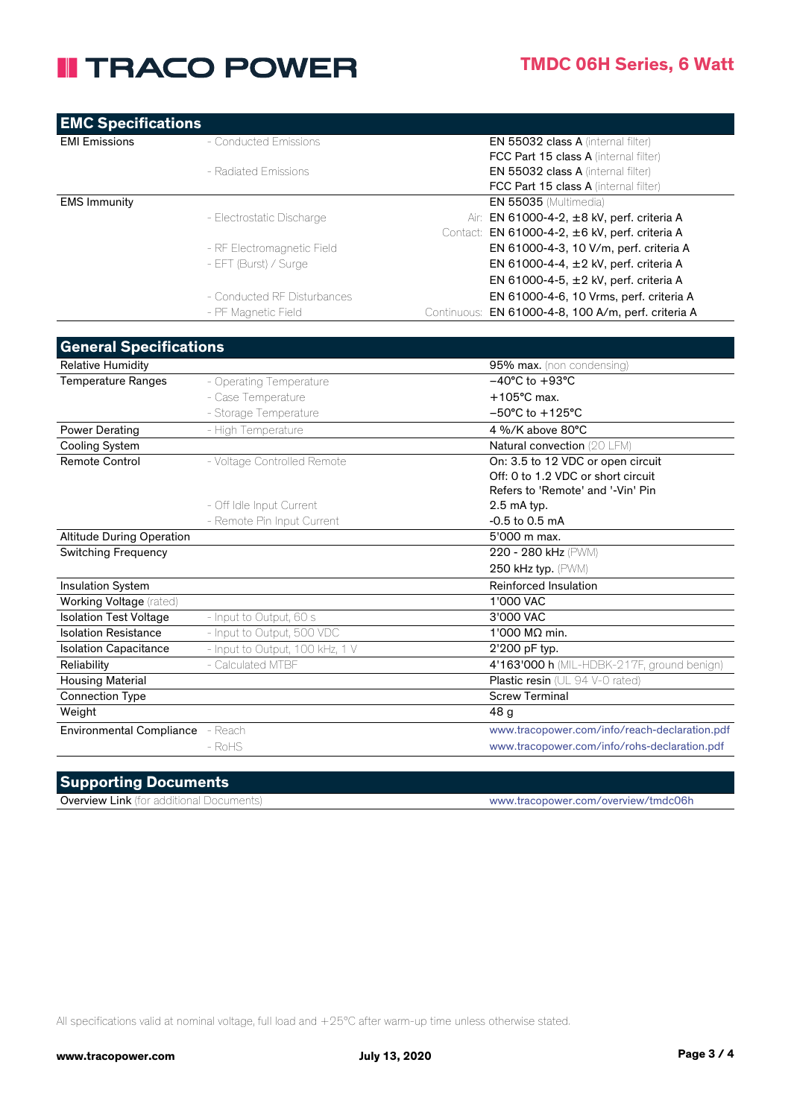# **II TRACO POWER**

| <b>EMC Specifications</b> |                             |                                                        |
|---------------------------|-----------------------------|--------------------------------------------------------|
| <b>EMI Emissions</b>      | - Conducted Emissions       | <b>EN 55032 class A (internal filter)</b>              |
|                           |                             | FCC Part 15 class A (internal filter)                  |
|                           | - Radiated Emissions        | <b>EN 55032 class A (internal filter)</b>              |
|                           |                             | <b>FCC Part 15 class A</b> (internal filter)           |
| <b>EMS Immunity</b>       |                             | <b>EN 55035 (Multimedia)</b>                           |
|                           | - Electrostatic Discharge   | Air: EN 61000-4-2, ±8 kV, perf. criteria A             |
|                           |                             | Contact: EN 61000-4-2, ±6 kV, perf. criteria A         |
|                           | - RF Electromagnetic Field  | EN 61000-4-3, 10 V/m, perf. criteria A                 |
|                           | - EFT (Burst) / Surge       | EN 61000-4-4, ±2 kV, perf. criteria A                  |
|                           |                             | EN 61000-4-5, $\pm$ 2 kV, perf. criteria A             |
|                           | - Conducted RF Disturbances | EN 61000-4-6, 10 Vrms, perf. criteria A                |
|                           | - PF Magnetic Field         | EN 61000-4-8, 100 A/m, perf. criteria A<br>Continuous: |

| <b>Relative Humidity</b>         |                                 | 95% max. (non condensing)                     |
|----------------------------------|---------------------------------|-----------------------------------------------|
| <b>Temperature Ranges</b>        | - Operating Temperature         | $-40^{\circ}$ C to $+93^{\circ}$ C            |
|                                  | - Case Temperature              | $+105^{\circ}$ C max.                         |
|                                  | - Storage Temperature           | $-50^{\circ}$ C to $+125^{\circ}$ C           |
| Power Derating                   | - High Temperature              | 4 %/K above 80°C                              |
| Cooling System                   |                                 | Natural convection (20 LFM)                   |
| <b>Remote Control</b>            | - Voltage Controlled Remote     | On: 3.5 to 12 VDC or open circuit             |
|                                  |                                 | Off: 0 to 1.2 VDC or short circuit            |
|                                  |                                 | Refers to 'Remote' and '-Vin' Pin             |
|                                  | - Off Idle Input Current        | $2.5$ mA typ.                                 |
|                                  | - Remote Pin Input Current      | $-0.5$ to 0.5 mA                              |
| <b>Altitude During Operation</b> |                                 | 5'000 m max.                                  |
| <b>Switching Frequency</b>       |                                 | 220 - 280 kHz (PWM)                           |
|                                  |                                 | 250 kHz typ. (PWM)                            |
| Insulation System                |                                 | Reinforced Insulation                         |
| Working Voltage (rated)          |                                 | 1'000 VAC                                     |
| <b>Isolation Test Voltage</b>    | - Input to Output, 60 s         | 3'000 VAC                                     |
| <b>Isolation Resistance</b>      | - Input to Output, 500 VDC      | 1'000 MΩ min.                                 |
| <b>Isolation Capacitance</b>     | - Input to Output, 100 kHz, 1 V | 2'200 pF typ.                                 |
| Reliability                      | - Calculated MTBF               | 4'163'000 h (MIL-HDBK-217F, ground benign)    |
| <b>Housing Material</b>          |                                 | Plastic resin (UL 94 V-0 rated)               |
| <b>Connection Type</b>           |                                 | <b>Screw Terminal</b>                         |
| Weight                           |                                 | 48 <sub>q</sub>                               |
| <b>Environmental Compliance</b>  | - Reach                         | www.tracopower.com/info/reach-declaration.pdf |
|                                  | $-$ RoHS                        | www.tracopower.com/info/rohs-declaration.pdf  |

## **Supporting Documents**

Overview Link (for additional Documents) www.tracopower.com/overview/tmdc06h

All specifications valid at nominal voltage, full load and +25°C after warm-up time unless otherwise stated.